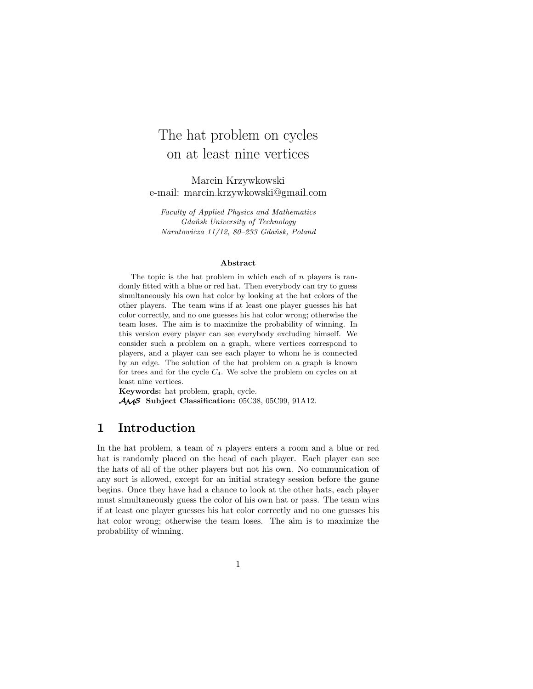# The hat problem on cycles on at least nine vertices

Marcin Krzywkowski e-mail: marcin.krzywkowski@gmail.com

*Faculty of Applied Physics and Mathematics Gdańsk University of Technology Narutowicza 11/12, 80–233 Gdańsk, Poland*

#### **Abstract**

The topic is the hat problem in which each of  $n$  players is randomly fitted with a blue or red hat. Then everybody can try to guess simultaneously his own hat color by looking at the hat colors of the other players. The team wins if at least one player guesses his hat color correctly, and no one guesses his hat color wrong; otherwise the team loses. The aim is to maximize the probability of winning. In this version every player can see everybody excluding himself. We consider such a problem on a graph, where vertices correspond to players, and a player can see each player to whom he is connected by an edge. The solution of the hat problem on a graph is known for trees and for the cycle  $C_4$ . We solve the problem on cycles on at least nine vertices.

**Keywords:** hat problem, graph, cycle. AMS **Subject Classification:** 05C38, 05C99, 91A12.

# **1 Introduction**

In the hat problem, a team of n players enters a room and a blue or red hat is randomly placed on the head of each player. Each player can see the hats of all of the other players but not his own. No communication of any sort is allowed, except for an initial strategy session before the game begins. Once they have had a chance to look at the other hats, each player must simultaneously guess the color of his own hat or pass. The team wins if at least one player guesses his hat color correctly and no one guesses his hat color wrong; otherwise the team loses. The aim is to maximize the probability of winning.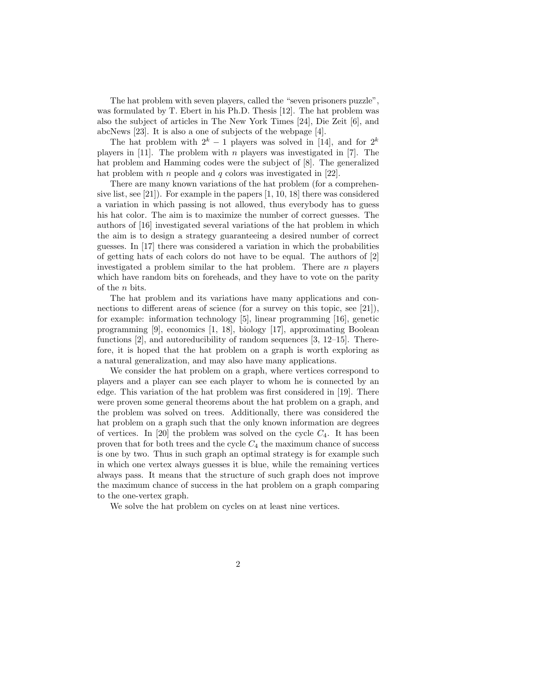The hat problem with seven players, called the "seven prisoners puzzle", was formulated by T. Ebert in his Ph.D. Thesis [12]. The hat problem was also the subject of articles in The New York Times [24], Die Zeit [6], and abcNews [23]. It is also a one of subjects of the webpage [4].

The hat problem with  $2^k - 1$  players was solved in [14], and for  $2^k$ players in  $[11]$ . The problem with *n* players was investigated in  $[7]$ . The hat problem and Hamming codes were the subject of [8]. The generalized hat problem with *n* people and *q* colors was investigated in [22].

There are many known variations of the hat problem (for a comprehensive list, see [21]). For example in the papers [1, 10, 18] there was considered a variation in which passing is not allowed, thus everybody has to guess his hat color. The aim is to maximize the number of correct guesses. The authors of [16] investigated several variations of the hat problem in which the aim is to design a strategy guaranteeing a desired number of correct guesses. In [17] there was considered a variation in which the probabilities of getting hats of each colors do not have to be equal. The authors of [2] investigated a problem similar to the hat problem. There are  $n$  players which have random bits on foreheads, and they have to vote on the parity of the n bits.

The hat problem and its variations have many applications and connections to different areas of science (for a survey on this topic, see [21]), for example: information technology [5], linear programming [16], genetic programming [9], economics [1, 18], biology [17], approximating Boolean functions [2], and autoreducibility of random sequences [3, 12–15]. Therefore, it is hoped that the hat problem on a graph is worth exploring as a natural generalization, and may also have many applications.

We consider the hat problem on a graph, where vertices correspond to players and a player can see each player to whom he is connected by an edge. This variation of the hat problem was first considered in [19]. There were proven some general theorems about the hat problem on a graph, and the problem was solved on trees. Additionally, there was considered the hat problem on a graph such that the only known information are degrees of vertices. In [20] the problem was solved on the cycle  $C_4$ . It has been proven that for both trees and the cycle  $C_4$  the maximum chance of success is one by two. Thus in such graph an optimal strategy is for example such in which one vertex always guesses it is blue, while the remaining vertices always pass. It means that the structure of such graph does not improve the maximum chance of success in the hat problem on a graph comparing to the one-vertex graph.

We solve the hat problem on cycles on at least nine vertices.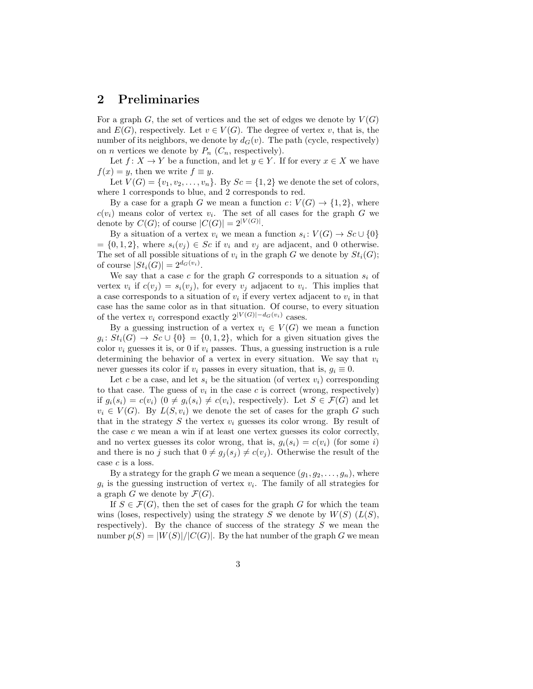## **2 Preliminaries**

For a graph G, the set of vertices and the set of edges we denote by  $V(G)$ and  $E(G)$ , respectively. Let  $v \in V(G)$ . The degree of vertex v, that is, the number of its neighbors, we denote by  $d_G(v)$ . The path (cycle, respectively) on *n* vertices we denote by  $P_n$  ( $C_n$ , respectively).

Let  $f: X \to Y$  be a function, and let  $y \in Y$ . If for every  $x \in X$  we have  $f(x) = y$ , then we write  $f \equiv y$ .

Let  $V(G) = \{v_1, v_2, \ldots, v_n\}$ . By  $Sc = \{1, 2\}$  we denote the set of colors, where 1 corresponds to blue, and 2 corresponds to red.

By a case for a graph G we mean a function  $c: V(G) \to \{1,2\}$ , where  $c(v_i)$  means color of vertex  $v_i$ . The set of all cases for the graph G we denote by  $C(G)$ ; of course  $|C(G)| = 2^{|V(G)|}$ .

By a situation of a vertex  $v_i$  we mean a function  $s_i: V(G) \to Sc \cup \{0\}$  $= \{0, 1, 2\},\$  where  $s_i(v_j) \in Sc$  if  $v_i$  and  $v_j$  are adjacent, and 0 otherwise. The set of all possible situations of  $v_i$  in the graph G we denote by  $St_i(G)$ ; of course  $|St_i(G)| = 2^{d_G(v_i)}$ .

We say that a case c for the graph  $G$  corresponds to a situation  $s_i$  of vertex  $v_i$  if  $c(v_j) = s_i(v_j)$ , for every  $v_j$  adjacent to  $v_i$ . This implies that a case corresponds to a situation of  $v_i$  if every vertex adjacent to  $v_i$  in that case has the same color as in that situation. Of course, to every situation of the vertex  $v_i$  correspond exactly  $2^{|V(G)|-d_G(v_i)}$  cases.

By a guessing instruction of a vertex  $v_i \in V(G)$  we mean a function  $g_i: St_i(G) \to Sc \cup \{0\} = \{0,1,2\}$ , which for a given situation gives the color  $v_i$  guesses it is, or 0 if  $v_i$  passes. Thus, a guessing instruction is a rule determining the behavior of a vertex in every situation. We say that  $v_i$ never guesses its color if  $v_i$  passes in every situation, that is,  $g_i \equiv 0$ .

Let c be a case, and let  $s_i$  be the situation (of vertex  $v_i$ ) corresponding to that case. The guess of  $v_i$  in the case c is correct (wrong, respectively) if  $g_i(s_i) = c(v_i)$   $(0 \neq g_i(s_i) \neq c(v_i)$ , respectively). Let  $S \in \mathcal{F}(G)$  and let  $v_i \in V(G)$ . By  $L(S, v_i)$  we denote the set of cases for the graph G such that in the strategy  $S$  the vertex  $v_i$  guesses its color wrong. By result of the case  $c$  we mean a win if at least one vertex guesses its color correctly, and no vertex guesses its color wrong, that is,  $g_i(s_i) = c(v_i)$  (for some i) and there is no j such that  $0 \neq g_j(s_j) \neq c(v_j)$ . Otherwise the result of the case c is a loss.

By a strategy for the graph G we mean a sequence  $(g_1, g_2, \ldots, g_n)$ , where  $g_i$  is the guessing instruction of vertex  $v_i$ . The family of all strategies for a graph G we denote by  $\mathcal{F}(G)$ .

If  $S \in \mathcal{F}(G)$ , then the set of cases for the graph G for which the team wins (loses, respectively) using the strategy S we denote by  $W(S)$  ( $L(S)$ , respectively). By the chance of success of the strategy  $S$  we mean the number  $p(S) = |W(S)|/|C(G)|$ . By the hat number of the graph G we mean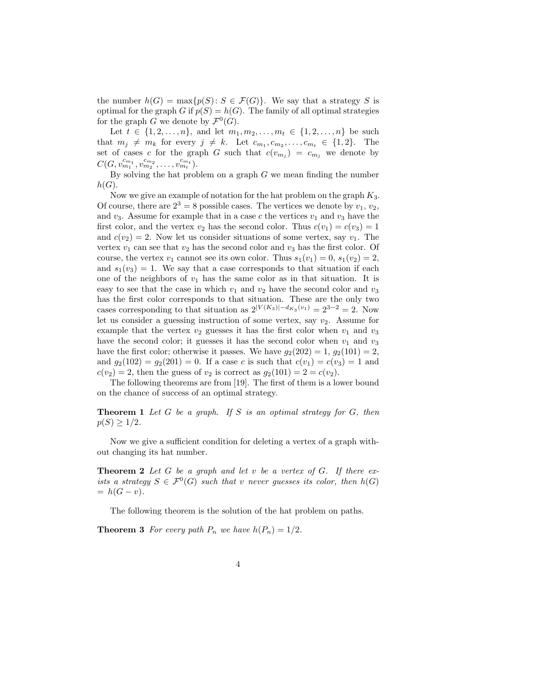the number  $h(G) = \max\{p(S): S \in \mathcal{F}(G)\}\)$ . We say that a strategy S is optimal for the graph G if  $p(S) = h(G)$ . The family of all optimal strategies for the graph G we denote by  $\mathcal{F}^0(G)$ .

Let  $t \in \{1, 2, ..., n\}$ , and let  $m_1, m_2, ..., m_t \in \{1, 2, ..., n\}$  be such that  $m_j \neq m_k$  for every  $j \neq k$ . Let  $c_{m_1}, c_{m_2}, \ldots, c_{m_t} \in \{1, 2\}$ . The set of cases c for the graph G such that  $c(v_{m_j}) = c_{m_j}$  we denote by  $C(G, v_{m_1}^{c_{m_1}}, v_{m_2}^{c_{m_2}}, \ldots, v_{m_t}^{c_{m_t}}).$ 

By solving the hat problem on a graph  $G$  we mean finding the number  $h(G).$ 

Now we give an example of notation for the hat problem on the graph  $K_3$ . Of course, there are  $2^3 = 8$  possible cases. The vertices we denote by  $v_1, v_2$ , and  $v_3$ . Assume for example that in a case c the vertices  $v_1$  and  $v_3$  have the first color, and the vertex  $v_2$  has the second color. Thus  $c(v_1) = c(v_3) = 1$ and  $c(v_2) = 2$ . Now let us consider situations of some vertex, say  $v_1$ . The vertex  $v_1$  can see that  $v_2$  has the second color and  $v_3$  has the first color. Of course, the vertex  $v_1$  cannot see its own color. Thus  $s_1(v_1) = 0$ ,  $s_1(v_2) = 2$ , and  $s_1(v_3) = 1$ . We say that a case corresponds to that situation if each one of the neighbors of  $v_1$  has the same color as in that situation. It is easy to see that the case in which  $v_1$  and  $v_2$  have the second color and  $v_3$ has the first color corresponds to that situation. These are the only two cases corresponding to that situation as  $2^{|V(K_3)|-d_{K_3}(v_1)}=2^{3-2}=2$ . Now let us consider a guessing instruction of some vertex, say  $v_2$ . Assume for example that the vertex  $v_2$  guesses it has the first color when  $v_1$  and  $v_3$ have the second color; it guesses it has the second color when  $v_1$  and  $v_3$ have the first color; otherwise it passes. We have  $g_2(202) = 1$ ,  $g_2(101) = 2$ , and  $g_2(102) = g_2(201) = 0$ . If a case c is such that  $c(v_1) = c(v_3) = 1$  and  $c(v_2) = 2$ , then the guess of  $v_2$  is correct as  $g_2(101) = 2 = c(v_2)$ .

The following theorems are from [19]. The first of them is a lower bound on the chance of success of an optimal strategy.

**Theorem 1** *Let* G *be a graph. If* S *is an optimal strategy for* G*, then*  $p(S) \geq 1/2$ .

Now we give a sufficient condition for deleting a vertex of a graph without changing its hat number.

**Theorem 2** *Let* G *be a graph and let* v *be a vertex of* G*. If there exists a strategy*  $S \in \mathcal{F}^0(G)$  *such that* v *never guesses its color, then*  $h(G)$  $= h(G - v)$ .

The following theorem is the solution of the hat problem on paths.

**Theorem 3** For every path  $P_n$  we have  $h(P_n) = 1/2$ .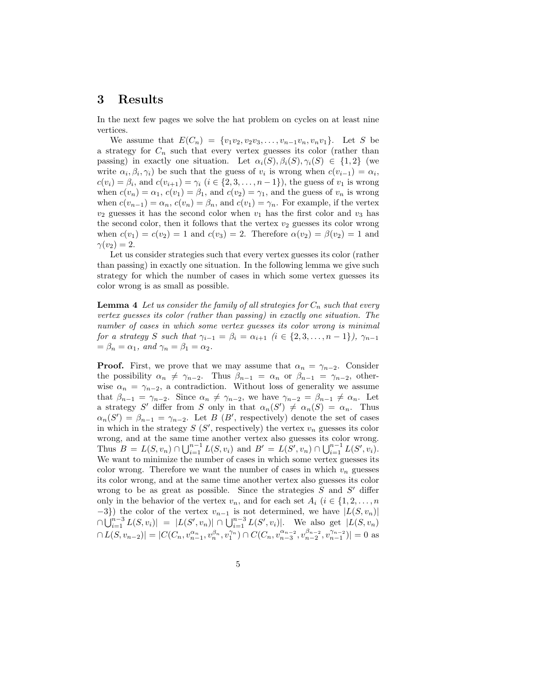## **3 Results**

In the next few pages we solve the hat problem on cycles on at least nine vertices.

We assume that  $E(C_n) = \{v_1v_2, v_2v_3, \ldots, v_{n-1}v_n, v_nv_1\}$ . Let S be a strategy for  $C_n$  such that every vertex guesses its color (rather than passing) in exactly one situation. Let  $\alpha_i(S), \beta_i(S), \gamma_i(S) \in \{1,2\}$  (we write  $\alpha_i, \beta_i, \gamma_i$  be such that the guess of  $v_i$  is wrong when  $c(v_{i-1}) = \alpha_i$ ,  $c(v_i) = \beta_i$ , and  $c(v_{i+1}) = \gamma_i$   $(i \in \{2, 3, ..., n-1\})$ , the guess of  $v_1$  is wrong when  $c(v_n) = \alpha_1, c(v_1) = \beta_1$ , and  $c(v_2) = \gamma_1$ , and the guess of  $v_n$  is wrong when  $c(v_{n-1}) = \alpha_n$ ,  $c(v_n) = \beta_n$ , and  $c(v_1) = \gamma_n$ . For example, if the vertex  $v_2$  guesses it has the second color when  $v_1$  has the first color and  $v_3$  has the second color, then it follows that the vertex  $v_2$  guesses its color wrong when  $c(v_1) = c(v_2) = 1$  and  $c(v_3) = 2$ . Therefore  $\alpha(v_2) = \beta(v_2) = 1$  and  $\gamma(v_2)=2.$ 

Let us consider strategies such that every vertex guesses its color (rather than passing) in exactly one situation. In the following lemma we give such strategy for which the number of cases in which some vertex guesses its color wrong is as small as possible.

**Lemma 4** Let us consider the family of all strategies for  $C_n$  such that every *vertex guesses its color (rather than passing) in exactly one situation. The number of cases in which some vertex guesses its color wrong is minimal for a strategy* S *such that*  $\gamma_{i-1} = \beta_i = \alpha_{i+1}$   $(i \in \{2, 3, ..., n-1\}), \gamma_{n-1}$  $=\beta_n = \alpha_1$ *, and*  $\gamma_n = \beta_1 = \alpha_2$ *.* 

**Proof.** First, we prove that we may assume that  $\alpha_n = \gamma_{n-2}$ . Consider the possibility  $\alpha_n \neq \gamma_{n-2}$ . Thus  $\beta_{n-1} = \alpha_n$  or  $\beta_{n-1} = \gamma_{n-2}$ , otherwise  $\alpha_n = \gamma_{n-2}$ , a contradiction. Without loss of generality we assume that  $\beta_{n-1} = \gamma_{n-2}$ . Since  $\alpha_n \neq \gamma_{n-2}$ , we have  $\gamma_{n-2} = \beta_{n-1} \neq \alpha_n$ . Let a strategy S' differ from S only in that  $\alpha_n(S') \neq \alpha_n(S) = \alpha_n$ . Thus  $\alpha_n(S') = \beta_{n-1} = \gamma_{n-2}$ . Let B (B', respectively) denote the set of cases in which in the strategy  $S(S', \text{respectively})$  the vertex  $v_n$  guesses its color wrong, and at the same time another vertex also guesses its color wrong. Thus  $B = L(S, v_n) \cap \bigcup_{i=1}^{n-1} L(S, v_i)$  and  $B' = L(S', v_n) \cap \bigcup_{i=1}^{n-1} L(S', v_i)$ . We want to minimize the number of cases in which some vertex guesses its color wrong. Therefore we want the number of cases in which  $v_n$  guesses its color wrong, and at the same time another vertex also guesses its color wrong to be as great as possible. Since the strategies  $S$  and  $S'$  differ only in the behavior of the vertex  $v_n$ , and for each set  $A_i$  ( $i \in \{1, 2, ..., n\}$  $-3$ ) the color of the vertex  $v_{n-1}$  is not determined, we have  $|L(S, v_n)|$  $\cap \bigcup_{i=1}^{n-3} L(S, v_i) | = |L(S', v_n)| \cap \bigcup_{i=1}^{n-3} L(S', v_i) |$ . We also get  $|L(S, v_n)|$  $\cap L(S, v_{n-2})| = |C(C_n, v_{n-1}^{\alpha_n}, v_1^{\beta_n}, v_1^{\gamma_n}) \cap C(C_n, v_{n-3}^{\alpha_{n-2}}, v_{n-2}^{\beta_{n-2}}, v_{n-1}^{\gamma_{n-2}})| = 0$  as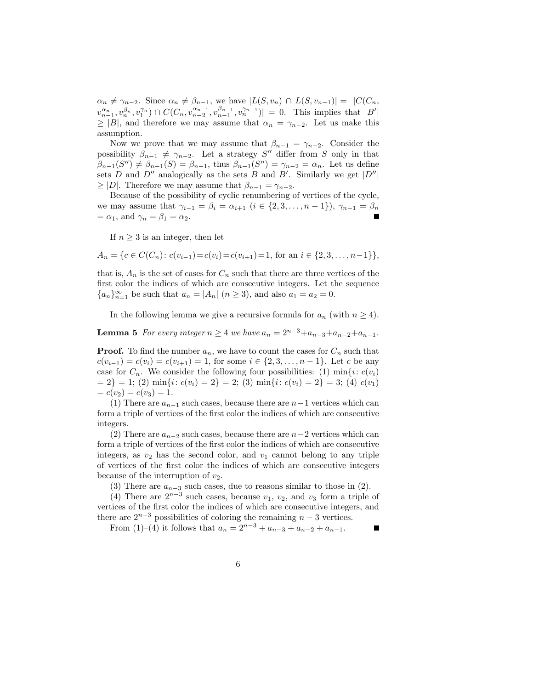$\alpha_n \neq \gamma_{n-2}$ . Since  $\alpha_n \neq \beta_{n-1}$ , we have  $|L(S, v_n) \cap L(S, v_{n-1})| = |C(C_n, v_n)|$  $v_{n-1}^{\alpha_n}, v_n^{\beta_n}, v_1^{\gamma_n} \rangle \cap C(C_n, v_{n-2}^{\alpha_{n-1}}, v_{n-1}^{\beta_{n-1}}, v_n^{\gamma_{n-1}})$  = 0. This implies that  $|B'|$  $\geq$  |B|, and therefore we may assume that  $\alpha_n = \gamma_{n-2}$ . Let us make this assumption.

Now we prove that we may assume that  $\beta_{n-1} = \gamma_{n-2}$ . Consider the possibility  $\beta_{n-1} \neq \gamma_{n-2}$ . Let a strategy S'' differ from S only in that  $\beta_{n-1}(S'') \neq \beta_{n-1}(S) = \beta_{n-1}$ , thus  $\beta_{n-1}(S'') = \gamma_{n-2} = \alpha_n$ . Let us define sets D and  $D''$  analogically as the sets B and B'. Similarly we get  $|D''|$  $\geq |D|$ . Therefore we may assume that  $\beta_{n-1} = \gamma_{n-2}$ .

Because of the possibility of cyclic renumbering of vertices of the cycle, we may assume that  $\gamma_{i-1} = \beta_i = \alpha_{i+1}$   $(i \in \{2, 3, ..., n-1\}), \gamma_{n-1} = \beta_n$  $=\alpha_1$ , and  $\gamma_n = \beta_1 = \alpha_2$ .

If  $n \geq 3$  is an integer, then let

 $A_n = \{c \in C(C_n): c(v_{i-1}) = c(v_i) = c(v_{i+1}) = 1, \text{ for an } i \in \{2, 3, \ldots, n-1\}\},\$ 

that is,  $A_n$  is the set of cases for  $C_n$  such that there are three vertices of the first color the indices of which are consecutive integers. Let the sequence  ${a_n}_{n=1}^{\infty}$  be such that  $a_n = |A_n|$   $(n \ge 3)$ , and also  $a_1 = a_2 = 0$ .

In the following lemma we give a recursive formula for  $a_n$  (with  $n \geq 4$ ).

**Lemma 5** *For every integer*  $n \geq 4$  *we have*  $a_n = 2^{n-3} + a_{n-3} + a_{n-2} + a_{n-1}$ *.* 

**Proof.** To find the number  $a_n$ , we have to count the cases for  $C_n$  such that  $c(v_{i-1}) = c(v_i) = c(v_{i+1}) = 1$ , for some  $i \in \{2, 3, ..., n-1\}$ . Let c be any case for  $C_n$ . We consider the following four possibilities: (1) min $\{i: c(v_i)\}$  $= 2$ } = 1; (2) min{i:  $c(v_i) = 2$ } = 2; (3) min{i:  $c(v_i) = 2$ } = 3; (4)  $c(v_1)$  $= c(v_2) = c(v_3) = 1.$ 

(1) There are  $a_{n-1}$  such cases, because there are  $n-1$  vertices which can form a triple of vertices of the first color the indices of which are consecutive integers.

(2) There are  $a_{n-2}$  such cases, because there are  $n-2$  vertices which can form a triple of vertices of the first color the indices of which are consecutive integers, as  $v_2$  has the second color, and  $v_1$  cannot belong to any triple of vertices of the first color the indices of which are consecutive integers because of the interruption of  $v_2$ .

(3) There are  $a_{n-3}$  such cases, due to reasons similar to those in (2).

(4) There are  $2^{n-3}$  such cases, because  $v_1, v_2$ , and  $v_3$  form a triple of vertices of the first color the indices of which are consecutive integers, and there are  $2^{n-3}$  possibilities of coloring the remaining  $n-3$  vertices.

From (1)–(4) it follows that  $a_n = 2^{n-3} + a_{n-3} + a_{n-2} + a_{n-1}$ .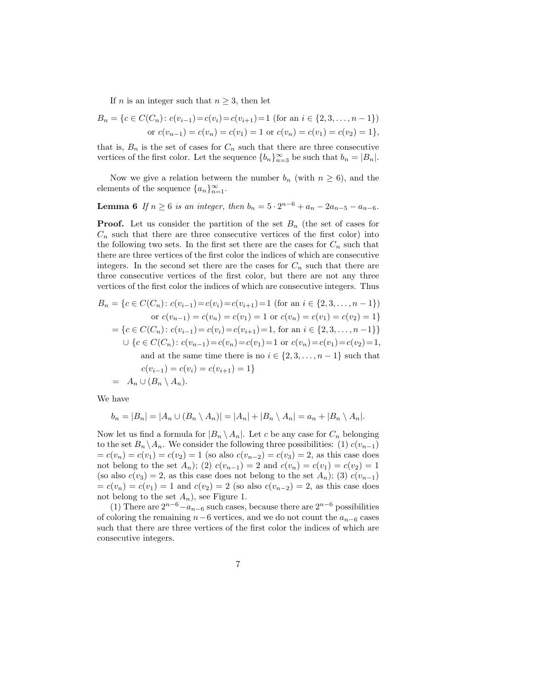If *n* is an integer such that  $n \geq 3$ , then let

$$
B_n = \{c \in C(C_n): c(v_{i-1}) = c(v_i) = c(v_{i+1}) = 1 \text{ (for an } i \in \{2, 3, ..., n-1\})\}
$$
  
or  $c(v_{n-1}) = c(v_n) = c(v_1) = 1$  or  $c(v_n) = c(v_1) = c(v_2) = 1\},$ 

that is,  $B_n$  is the set of cases for  $C_n$  such that there are three consecutive vertices of the first color. Let the sequence  ${b_n}_{n=3}^{\infty}$  be such that  $b_n = |B_n|$ .

Now we give a relation between the number  $b_n$  (with  $n \geq 6$ ), and the elements of the sequence  $\{a_n\}_{n=1}^{\infty}$ .

**Lemma 6** *If*  $n \ge 6$  *is an integer, then*  $b_n = 5 \cdot 2^{n-6} + a_n - 2a_{n-5} - a_{n-6}$ *.* 

**Proof.** Let us consider the partition of the set  $B_n$  (the set of cases for  $C_n$  such that there are three consecutive vertices of the first color) into the following two sets. In the first set there are the cases for  $C_n$  such that there are three vertices of the first color the indices of which are consecutive integers. In the second set there are the cases for  $C_n$  such that there are three consecutive vertices of the first color, but there are not any three vertices of the first color the indices of which are consecutive integers. Thus

$$
B_n = \{c \in C(C_n) : c(v_{i-1}) = c(v_i) = c(v_{i+1}) = 1 \text{ (for an } i \in \{2, 3, ..., n-1\})\}
$$
  
or  $c(v_{n-1}) = c(v_n) = c(v_1) = 1$  or  $c(v_n) = c(v_1) = c(v_2) = 1\}$   

$$
= \{c \in C(C_n) : c(v_{i-1}) = c(v_i) = c(v_{i+1}) = 1, \text{ for an } i \in \{2, 3, ..., n-1\}\}
$$
  

$$
\cup \{c \in C(C_n) : c(v_{n-1}) = c(v_n) = c(v_1) = 1 \text{ or } c(v_n) = c(v_1) = c(v_2) = 1,
$$
  
and at the same time there is no  $i \in \{2, 3, ..., n-1\}$  such that  
 $c(v_{i-1}) = c(v_i) = c(v_{i+1}) = 1\}$   

$$
= A_n \cup (B_n \setminus A_n).
$$

We have

$$
b_n = |B_n| = |A_n \cup (B_n \setminus A_n)| = |A_n| + |B_n \setminus A_n| = a_n + |B_n \setminus A_n|.
$$

Now let us find a formula for  $|B_n \setminus A_n|$ . Let c be any case for  $C_n$  belonging to the set  $B_n \setminus A_n$ . We consider the following three possibilities: (1)  $c(v_{n-1})$  $= c(v_n) = c(v_1) = c(v_2) = 1$  (so also  $c(v_{n-2}) = c(v_3) = 2$ , as this case does not belong to the set  $A_n$ ); (2)  $c(v_{n-1}) = 2$  and  $c(v_n) = c(v_1) = c(v_2) = 1$ (so also  $c(v_3) = 2$ , as this case does not belong to the set  $A_n$ ); (3)  $c(v_{n-1})$  $= c(v_n) = c(v_1) = 1$  and  $c(v_2) = 2$  (so also  $c(v_{n-2}) = 2$ , as this case does not belong to the set  $A_n$ ), see Figure 1.

(1) There are  $2^{n-6} - a_{n-6}$  such cases, because there are  $2^{n-6}$  possibilities of coloring the remaining  $n-6$  vertices, and we do not count the  $a_{n-6}$  cases such that there are three vertices of the first color the indices of which are consecutive integers.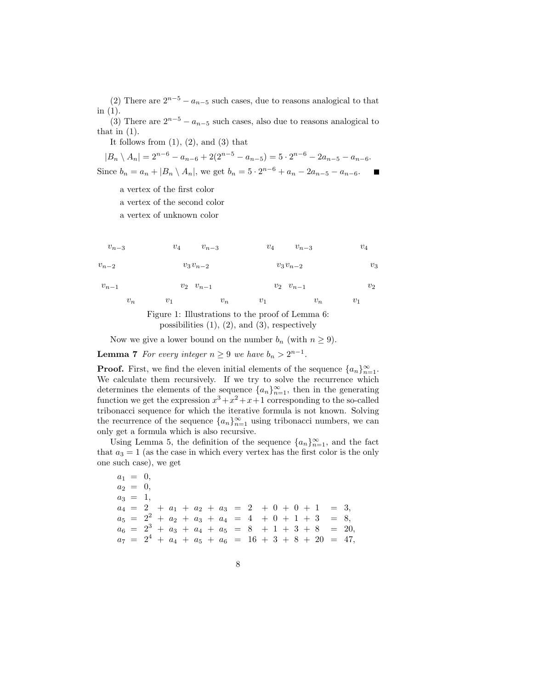(2) There are  $2^{n-5} - a_{n-5}$  such cases, due to reasons analogical to that in (1).

(3) There are  $2^{n-5} - a_{n-5}$  such cases, also due to reasons analogical to that in  $(1)$ .

It follows from  $(1)$ ,  $(2)$ , and  $(3)$  that

 $|B_n \setminus A_n| = 2^{n-6} - a_{n-6} + 2(2^{n-5} - a_{n-5}) = 5 \cdot 2^{n-6} - 2a_{n-5} - a_{n-6}.$ Since  $b_n = a_n + |B_n \setminus A_n|$ , we get  $b_n = 5 \cdot 2^{n-6} + a_n - 2a_{n-5} - a_{n-6}$ .

a vertex of the first color

a vertex of the second color

a vertex of unknown color



$$
v_{n-1}
$$

$$
v_2 \quad v_{n-1}
$$

 $v_1$ 

 $v_2$ 

 $v_1$  $v_n$  $v_1$  $v_n$  $\boldsymbol{v}_n$ Figure 1: Illustrations to the proof of Lemma 6:



Now we give a lower bound on the number  $b_n$  (with  $n \geq 9$ ).

**Lemma 7** *For every integer*  $n \geq 9$  *we have*  $b_n > 2^{n-1}$ *.* 

 $v_2$   $v_{n-1}$ 

**Proof.** First, we find the eleven initial elements of the sequence  $\{a_n\}_{n=1}^{\infty}$ . We calculate them recursively. If we try to solve the recurrence which determines the elements of the sequence  ${a_n}_{n=1}^{\infty}$ , then in the generating function we get the expression  $x^3 + x^2 + x + 1$  corresponding to the so-called tribonacci sequence for which the iterative formula is not known. Solving the recurrence of the sequence  ${a_n}_{n=1}^{\infty}$  using tribonacci numbers, we can only get a formula which is also recursive.

Using Lemma 5, the definition of the sequence  $\{a_n\}_{n=1}^{\infty}$ , and the fact that  $a_3 = 1$  (as the case in which every vertex has the first color is the only one such case), we get

 $a_1 = 0,$  $a_2 = 0$ ,  $a_3 = 1$ ,  $a_4 = 2 + a_1 + a_2 + a_3 = 2 + 0 + 0 + 1 = 3,$  $a_5 = 2^2 + a_2 + a_3 + a_4 = 4 + 0 + 1 + 3 = 8,$  $a_6 = 2^3 + a_3 + a_4 + a_5 = 8 + 1 + 3 + 8 = 20,$  $a_7 = 2^4 + a_4 + a_5 + a_6 = 16 + 3 + 8 + 20 = 47,$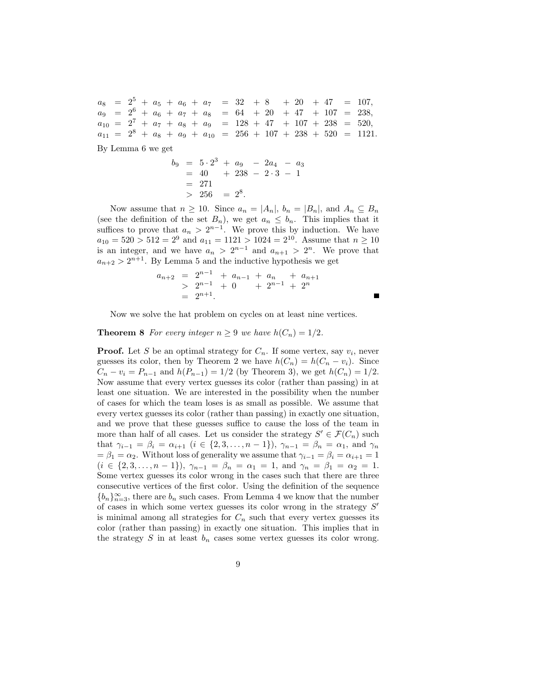$a_8$  =  $2^5$  +  $a_5$  +  $a_6$  +  $a_7$  = 32 + 8 + 20 + 47 = 107,  $a_9 = 2^6 + a_6 + a_7 + a_8 = 64 + 20 + 47 + 107 = 238,$  $a_{10} = 2^7 + a_7 + a_8 + a_9 = 128 + 47 + 107 + 238 = 520,$  $a_{11} = 2^8 + a_8 + a_9 + a_{10} = 256 + 107 + 238 + 520 = 1121.$ 

By Lemma 6 we get

$$
b_9 = 5 \cdot 2^3 + a_9 - 2a_4 - a_3
$$
  
= 40 + 238 - 2 \cdot 3 - 1  
= 271  
> 256 = 2^8.

Now assume that  $n \geq 10$ . Since  $a_n = |A_n|$ ,  $b_n = |B_n|$ , and  $A_n \subseteq B_n$ (see the definition of the set  $B_n$ ), we get  $a_n \leq b_n$ . This implies that it suffices to prove that  $a_n > 2^{n-1}$ . We prove this by induction. We have  $a_{10} = 520 > 512 = 2^9$  and  $a_{11} = 1121 > 1024 = 2^{10}$ . Assume that  $n \ge 10$ is an integer, and we have  $a_n > 2^{n-1}$  and  $a_{n+1} > 2^n$ . We prove that  $a_{n+2} > 2^{n+1}$ . By Lemma 5 and the inductive hypothesis we get

$$
a_{n+2} = 2^{n-1} + a_{n-1} + a_n + a_{n+1}
$$
  
> 2<sup>n-1</sup> + 0 + 2<sup>n-1</sup> + 2<sup>n</sup>  
= 2<sup>n+1</sup>.

Now we solve the hat problem on cycles on at least nine vertices.

#### **Theorem 8** *For every integer*  $n \geq 9$  *we have*  $h(C_n) = 1/2$ *.*

**Proof.** Let S be an optimal strategy for  $C_n$ . If some vertex, say  $v_i$ , never guesses its color, then by Theorem 2 we have  $h(C_n) = h(C_n - v_i)$ . Since  $C_n - v_i = P_{n-1}$  and  $h(P_{n-1}) = 1/2$  (by Theorem 3), we get  $h(C_n) = 1/2$ . Now assume that every vertex guesses its color (rather than passing) in at least one situation. We are interested in the possibility when the number of cases for which the team loses is as small as possible. We assume that every vertex guesses its color (rather than passing) in exactly one situation, and we prove that these guesses suffice to cause the loss of the team in more than half of all cases. Let us consider the strategy  $S' \in \mathcal{F}(C_n)$  such that  $\gamma_{i-1} = \beta_i = \alpha_{i+1}$   $(i \in \{2, 3, ..., n-1\}), \gamma_{n-1} = \beta_n = \alpha_1$ , and  $\gamma_n$  $= \beta_1 = \alpha_2$ . Without loss of generality we assume that  $\gamma_{i-1} = \beta_i = \alpha_{i+1} = 1$  $(i \in \{2, 3, \ldots, n-1\}), \gamma_{n-1} = \beta_n = \alpha_1 = 1, \text{ and } \gamma_n = \beta_1 = \alpha_2 = 1.$ Some vertex guesses its color wrong in the cases such that there are three consecutive vertices of the first color. Using the definition of the sequence  ${b_n}_{n=3}^{\infty}$ , there are  $b_n$  such cases. From Lemma 4 we know that the number of cases in which some vertex guesses its color wrong in the strategy  $S'$ is minimal among all strategies for  $C_n$  such that every vertex guesses its color (rather than passing) in exactly one situation. This implies that in the strategy  $S$  in at least  $b_n$  cases some vertex guesses its color wrong.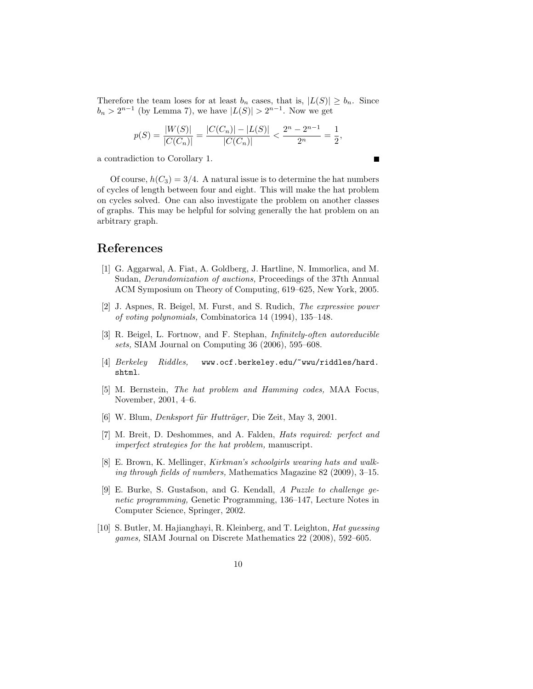Therefore the team loses for at least  $b_n$  cases, that is,  $|L(S)| \geq b_n$ . Since  $b_n > 2^{n-1}$  (by Lemma 7), we have  $|L(S)| > 2^{n-1}$ . Now we get

$$
p(S) = \frac{|W(S)|}{|C(C_n)|} = \frac{|C(C_n)| - |L(S)|}{|C(C_n)|} < \frac{2^n - 2^{n-1}}{2^n} = \frac{1}{2},
$$

П

a contradiction to Corollary 1.

Of course,  $h(C_3) = 3/4$ . A natural issue is to determine the hat numbers of cycles of length between four and eight. This will make the hat problem on cycles solved. One can also investigate the problem on another classes of graphs. This may be helpful for solving generally the hat problem on an arbitrary graph.

### **References**

- [1] G. Aggarwal, A. Fiat, A. Goldberg, J. Hartline, N. Immorlica, and M. Sudan, *Derandomization of auctions,* Proceedings of the 37th Annual ACM Symposium on Theory of Computing, 619–625, New York, 2005.
- [2] J. Aspnes, R. Beigel, M. Furst, and S. Rudich, *The expressive power of voting polynomials,* Combinatorica 14 (1994), 135–148.
- [3] R. Beigel, L. Fortnow, and F. Stephan, *Infinitely-often autoreducible sets,* SIAM Journal on Computing 36 (2006), 595–608.
- [4] *Berkeley Riddles,* www.ocf.berkeley.edu/~wwu/riddles/hard. shtml.
- [5] M. Bernstein, *The hat problem and Hamming codes,* MAA Focus, November, 2001, 4–6.
- [6] W. Blum, *Denksport für Hutträger*, Die Zeit, May 3, 2001.
- [7] M. Breit, D. Deshommes, and A. Falden, *Hats required: perfect and imperfect strategies for the hat problem,* manuscript.
- [8] E. Brown, K. Mellinger, *Kirkman's schoolgirls wearing hats and walking through fields of numbers,* Mathematics Magazine 82 (2009), 3–15.
- [9] E. Burke, S. Gustafson, and G. Kendall, *A Puzzle to challenge genetic programming,* Genetic Programming, 136–147, Lecture Notes in Computer Science, Springer, 2002.
- [10] S. Butler, M. Hajianghayi, R. Kleinberg, and T. Leighton, *Hat guessing games,* SIAM Journal on Discrete Mathematics 22 (2008), 592–605.